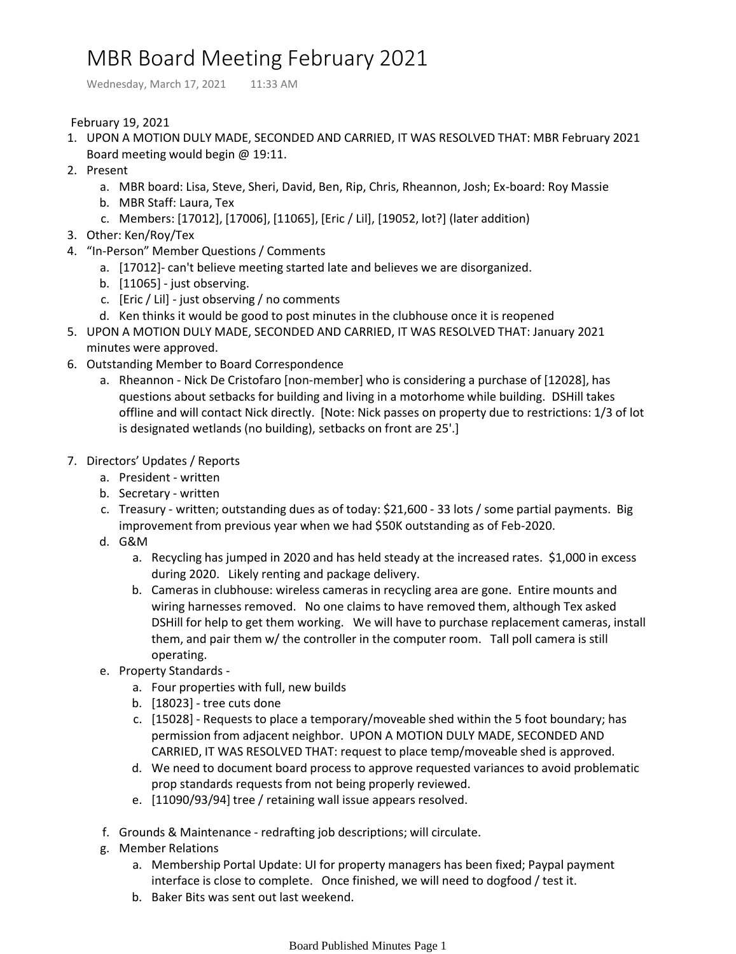## MBR Board Meeting February 2021

Wednesday, March 17, 2021 11:33 AM

February 19, 2021

- UPON A MOTION DULY MADE, SECONDED AND CARRIED, IT WAS RESOLVED THAT: MBR February 2021 1. Board meeting would begin @ 19:11.
- 2. Present
	- a. MBR board: Lisa, Steve, Sheri, David, Ben, Rip, Chris, Rheannon, Josh; Ex-board: Roy Massie
	- b. MBR Staff: Laura, Tex
	- c. Members: [17012], [17006], [11065], [Eric / Lil], [19052, lot?] (later addition)
- 3. Other: Ken/Roy/Tex
- 4. "In-Person" Member Questions / Comments
	- a. [17012]- can't believe meeting started late and believes we are disorganized.
	- b. [11065] just observing.
	- c. [Eric / Lil] just observing / no comments
	- d. Ken thinks it would be good to post minutes in the clubhouse once it is reopened
- UPON A MOTION DULY MADE, SECONDED AND CARRIED, IT WAS RESOLVED THAT: January 2021 5. minutes were approved.
- 6. Outstanding Member to Board Correspondence
	- a. Rheannon Nick De Cristofaro [non-member] who is considering a purchase of [12028], has questions about setbacks for building and living in a motorhome while building. DSHill takes offline and will contact Nick directly. [Note: Nick passes on property due to restrictions: 1/3 of lot is designated wetlands (no building), setbacks on front are 25'.]
- 7. Directors' Updates / Reports
	- a. President written
	- b. Secretary written
	- c. Treasury written; outstanding dues as of today: \$21,600 33 lots / some partial payments. Big improvement from previous year when we had \$50K outstanding as of Feb-2020.
	- G&M d.
		- a. Recycling has jumped in 2020 and has held steady at the increased rates. \$1,000 in excess during 2020. Likely renting and package delivery.
		- b. Cameras in clubhouse: wireless cameras in recycling area are gone. Entire mounts and wiring harnesses removed. No one claims to have removed them, although Tex asked DSHill for help to get them working. We will have to purchase replacement cameras, install them, and pair them w/ the controller in the computer room. Tall poll camera is still operating.
	- e. Property Standards
		- a. Four properties with full, new builds
		- b. [18023] tree cuts done
		- c. [15028] Requests to place a temporary/moveable shed within the 5 foot boundary; has permission from adjacent neighbor. UPON A MOTION DULY MADE, SECONDED AND CARRIED, IT WAS RESOLVED THAT: request to place temp/moveable shed is approved.
		- We need to document board process to approve requested variances to avoid problematic d. prop standards requests from not being properly reviewed.
		- e. [11090/93/94] tree / retaining wall issue appears resolved.
	- f. Grounds & Maintenance redrafting job descriptions; will circulate.
	- Member Relations g.
		- Membership Portal Update: UI for property managers has been fixed; Paypal payment a. interface is close to complete. Once finished, we will need to dogfood / test it.
		- b. Baker Bits was sent out last weekend.